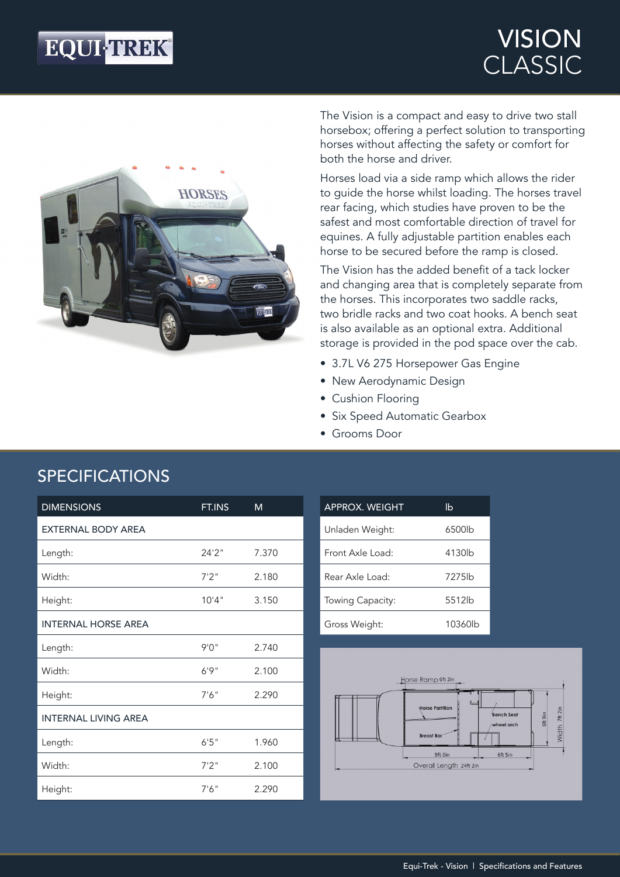# **EQUI-TREK®**

## VISION CLASSIC



The Vision is a compact and easy to drive two stall horsebox; offering a perfect solution to transporting horses without affecting the safety or comfort for both the horse and driver.

Horses load via a side ramp which allows the rider to guide the horse whilst loading. The horses travel rear facing, which studies have proven to be the safest and most comfortable direction of travel for equines. A fully adjustable partition enables each horse to be secured before the ramp is closed.

The Vision has the added benefit of a tack locker and changing area that is completely separate from the horses. This incorporates two saddle racks, two bridle racks and two coat hooks. A bench seat is also available as an optional extra. Additional storage is provided in the pod space over the cab.

- 3.7L V6 275 Horsepower Gas Engine
- New Aerodynamic Design
- Cushion Flooring
- Six Speed Automatic Gearbox
- Grooms Door

| <b>DIMENSIONS</b>           | FT.INS | M     |
|-----------------------------|--------|-------|
| <b>EXTERNAL BODY AREA</b>   |        |       |
| Length:                     | 24'2'' | 7.370 |
| Width:                      | 7'2''  | 2.180 |
| Height:                     | 10'4"  | 3.150 |
| <b>INTERNAL HORSE AREA</b>  |        |       |
| Length:                     | 9'0''  | 2.740 |
| Width:                      | 6'9''  | 2.100 |
| Height:                     | 7'6''  | 2.290 |
| <b>INTERNAL LIVING AREA</b> |        |       |
| Length:                     | 6'5''  | 1.960 |
| Width:                      | 7'2''  | 2.100 |
| Height:                     | 7'6''  | 2.290 |

## SPECIFICATIONS

| <b>APPROX. WEIGHT</b> | lb      |
|-----------------------|---------|
| Unladen Weight:       | 6500lb  |
| Front Axle Load:      | 4130lb  |
| Rear Axle Load:       | 7275lb  |
| Towing Capacity:      | 5512lb  |
| Gross Weight:         | 10360lb |